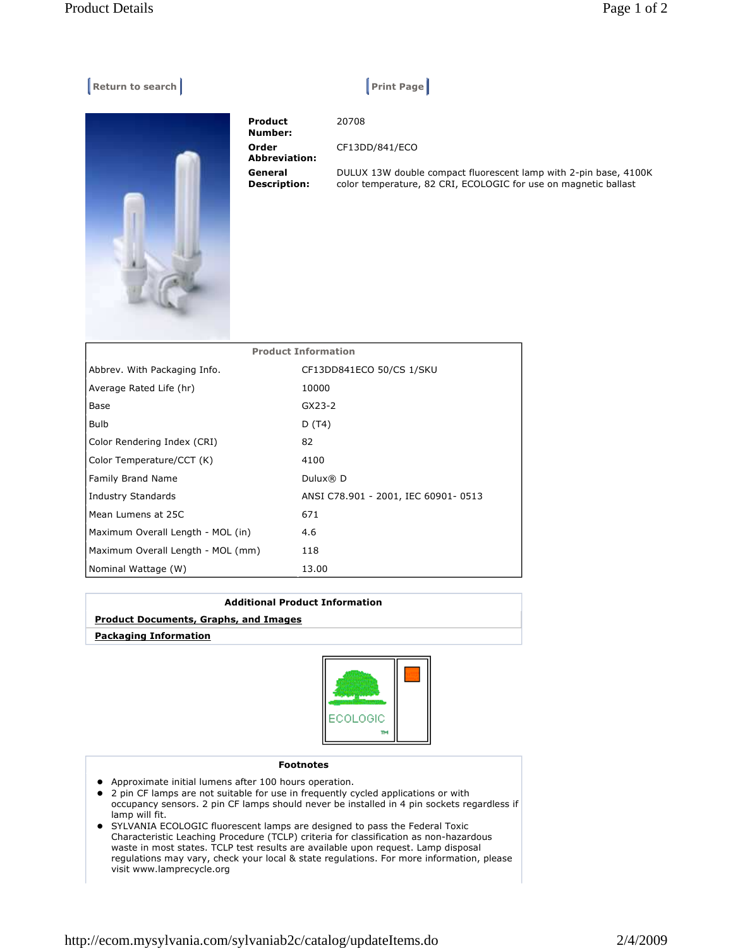## **Return to search Print Page 1 Accord Print Page 1**

**Number: Order Abbreviation: General Description:** 

**Product** 

20708 CF13DD/841/ECO DULUX 13W double compact fluorescent lamp with 2-pin base, 4100K color temperature, 82 CRI, ECOLOGIC for use on magnetic ballast

| <b>Product Information</b>        |                                     |
|-----------------------------------|-------------------------------------|
| Abbrev. With Packaging Info.      | CF13DD841ECO 50/CS 1/SKU            |
| Average Rated Life (hr)           | 10000                               |
| Base                              | GX23-2                              |
| Bulb                              | D (T4)                              |
| Color Rendering Index (CRI)       | 82                                  |
| Color Temperature/CCT (K)         | 4100                                |
| Family Brand Name                 | Dulux® D                            |
| <b>Industry Standards</b>         | ANSI C78.901 - 2001, IEC 60901-0513 |
| Mean Lumens at 25C                | 671                                 |
| Maximum Overall Length - MOL (in) | 4.6                                 |
| Maximum Overall Length - MOL (mm) | 118                                 |
| Nominal Wattage (W)               | 13.00                               |

## **Additional Product Information**

## **Product Documents, Graphs, and Images**

 **Packaging Information**



## **Footnotes**

- Approximate initial lumens after 100 hours operation.
- 2 pin CF lamps are not suitable for use in frequently cycled applications or with occupancy sensors. 2 pin CF lamps should never be installed in 4 pin sockets regardless if lamp will fit.
- SYLVANIA ECOLOGIC fluorescent lamps are designed to pass the Federal Toxic Characteristic Leaching Procedure (TCLP) criteria for classification as non-hazardous waste in most states. TCLP test results are available upon request. Lamp disposal regulations may vary, check your local & state regulations. For more information, please visit www.lamprecycle.org